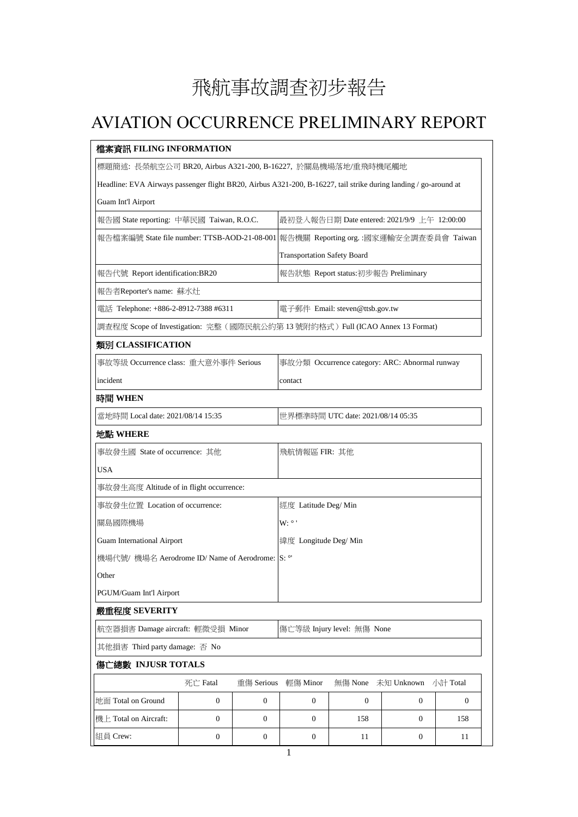## 飛航事故調查初步報告

## AVIATION OCCURRENCE PRELIMINARY REPORT

| 檔案資訊 FILING INFORMATION                                                                                          |                                     |                  |                                                                                      |              |                  |              |  |  |
|------------------------------------------------------------------------------------------------------------------|-------------------------------------|------------------|--------------------------------------------------------------------------------------|--------------|------------------|--------------|--|--|
| 標題簡述: 長榮航空公司 BR20, Airbus A321-200, B-16227, 於關島機場落地/重飛時機尾觸地                                                     |                                     |                  |                                                                                      |              |                  |              |  |  |
| Headline: EVA Airways passenger flight BR20, Airbus A321-200, B-16227, tail strike during landing / go-around at |                                     |                  |                                                                                      |              |                  |              |  |  |
| Guam Int'l Airport                                                                                               |                                     |                  |                                                                                      |              |                  |              |  |  |
| 報告國 State reporting: 中華民國 Taiwan, R.O.C.                                                                         |                                     |                  | 最初登入報告日期 Date entered: 2021/9/9 上午 12:00:00                                          |              |                  |              |  |  |
|                                                                                                                  |                                     |                  | 報告檔案編號 State file number: TTSB-AOD-21-08-001 報告機關 Reporting org. :國家運輸安全調查委員會 Taiwan |              |                  |              |  |  |
|                                                                                                                  | <b>Transportation Safety Board</b>  |                  |                                                                                      |              |                  |              |  |  |
| 報告代號 Report identification:BR20                                                                                  | 報告狀態 Report status:初步報告 Preliminary |                  |                                                                                      |              |                  |              |  |  |
| 報告者Reporter's name: 蘇水灶                                                                                          |                                     |                  |                                                                                      |              |                  |              |  |  |
| 電話 Telephone: +886-2-8912-7388 #6311                                                                             | 電子郵件 Email: steven@ttsb.gov.tw      |                  |                                                                                      |              |                  |              |  |  |
| 調查程度 Scope of Investigation: 完整 (國際民航公約第13號附約格式) Full (ICAO Annex 13 Format)                                     |                                     |                  |                                                                                      |              |                  |              |  |  |
| 類別 CLASSIFICATION                                                                                                |                                     |                  |                                                                                      |              |                  |              |  |  |
| 事故等級 Occurrence class: 重大意外事件 Serious                                                                            |                                     |                  | 事故分類 Occurrence category: ARC: Abnormal runway                                       |              |                  |              |  |  |
| incident                                                                                                         |                                     |                  | contact                                                                              |              |                  |              |  |  |
| 時間 WHEN                                                                                                          |                                     |                  |                                                                                      |              |                  |              |  |  |
| 當地時間 Local date: 2021/08/14 15:35                                                                                | 世界標準時間 UTC date: 2021/08/14 05:35   |                  |                                                                                      |              |                  |              |  |  |
| 地點 WHERE                                                                                                         |                                     |                  |                                                                                      |              |                  |              |  |  |
| 事故發生國 State of occurrence: 其他                                                                                    |                                     |                  | 飛航情報區 FIR: 其他                                                                        |              |                  |              |  |  |
| USA                                                                                                              |                                     |                  |                                                                                      |              |                  |              |  |  |
| 事故發生高度 Altitude of in flight occurrence:                                                                         |                                     |                  |                                                                                      |              |                  |              |  |  |
| 事故發生位置 Location of occurrence:                                                                                   |                                     |                  | 經度 Latitude Deg/ Min                                                                 |              |                  |              |  |  |
| 關島國際機場                                                                                                           |                                     |                  | $W: \degree$ '                                                                       |              |                  |              |  |  |
| <b>Guam International Airport</b>                                                                                |                                     |                  | 緯度 Longitude Deg/ Min                                                                |              |                  |              |  |  |
| 機場代號/機場名 Aerodrome ID/Name of Aerodrome: S: °'                                                                   |                                     |                  |                                                                                      |              |                  |              |  |  |
| Other                                                                                                            |                                     |                  |                                                                                      |              |                  |              |  |  |
| PGUM/Guam Int'l Airport                                                                                          |                                     |                  |                                                                                      |              |                  |              |  |  |
| 嚴重程度 SEVERITY                                                                                                    |                                     |                  |                                                                                      |              |                  |              |  |  |
| 航空器損害 Damage aircraft: 輕微受損 Minor                                                                                |                                     |                  | 傷亡等級 Injury level: 無傷 None                                                           |              |                  |              |  |  |
| 其他損害 Third party damage: 否 No                                                                                    |                                     |                  |                                                                                      |              |                  |              |  |  |
| 傷亡總數 INJUSR TOTALS                                                                                               |                                     |                  |                                                                                      |              |                  |              |  |  |
|                                                                                                                  | 死亡 Fatal                            | 重傷 Serious       | 輕傷 Minor                                                                             | 無傷 None      | 未知 Unknown       | 小計 Total     |  |  |
| 地面 Total on Ground                                                                                               | $\overline{0}$                      | $\boldsymbol{0}$ | $\boldsymbol{0}$                                                                     | $\mathbf{0}$ | $\mathbf{0}$     | $\mathbf{0}$ |  |  |
| 機上 Total on Aircraft:                                                                                            | $\boldsymbol{0}$                    | $\mathbf{0}$     | $\boldsymbol{0}$                                                                     | 158          | $\boldsymbol{0}$ | 158          |  |  |
| 組員 Crew:                                                                                                         | $\boldsymbol{0}$                    | $\boldsymbol{0}$ | $\boldsymbol{0}$                                                                     | 11           | $\boldsymbol{0}$ | 11           |  |  |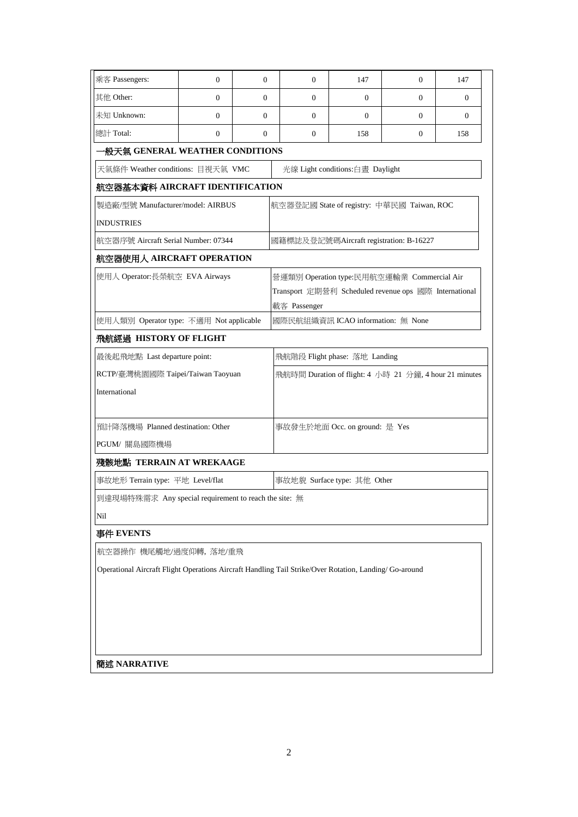| 乘客 Passengers:                                                                                         | $\mathbf{0}$                            | $\mathbf{0}$                               | $\overline{0}$                                         | 147      | $\Omega$ | 147            |  |  |  |  |  |
|--------------------------------------------------------------------------------------------------------|-----------------------------------------|--------------------------------------------|--------------------------------------------------------|----------|----------|----------------|--|--|--|--|--|
| 其他 Other:                                                                                              | $\mathbf{0}$                            | $\Omega$                                   | $\Omega$                                               | $\Omega$ | $\Omega$ | $\Omega$       |  |  |  |  |  |
| 未知 Unknown:                                                                                            | $\mathbf{0}$                            | $\overline{0}$                             | $\overline{0}$                                         | $\Omega$ | $\Omega$ | $\overline{0}$ |  |  |  |  |  |
| 總計 Total:                                                                                              | $\mathbf{0}$                            | $\Omega$                                   | $\overline{0}$                                         | 158      | $\Omega$ | 158            |  |  |  |  |  |
| -般天氣 GENERAL WEATHER CONDITIONS                                                                        |                                         |                                            |                                                        |          |          |                |  |  |  |  |  |
| 天氣條件 Weather conditions: 目視天氣 VMC<br>光線 Light conditions:白晝 Daylight                                   |                                         |                                            |                                                        |          |          |                |  |  |  |  |  |
| 航空器基本資料 AIRCRAFT IDENTIFICATION                                                                        |                                         |                                            |                                                        |          |          |                |  |  |  |  |  |
| 製造廠/型號 Manufacturer/model: AIRBUS                                                                      |                                         | 航空器登記國 State of registry: 中華民國 Taiwan, ROC |                                                        |          |          |                |  |  |  |  |  |
| <b>INDUSTRIES</b>                                                                                      |                                         |                                            |                                                        |          |          |                |  |  |  |  |  |
| 航空器序號 Aircraft Serial Number: 07344                                                                    | 國籍標誌及登記號碼Aircraft registration: B-16227 |                                            |                                                        |          |          |                |  |  |  |  |  |
| 航空器使用人 AIRCRAFT OPERATION                                                                              |                                         |                                            |                                                        |          |          |                |  |  |  |  |  |
| 使用人 Operator:長榮航空 EVA Airways                                                                          |                                         |                                            | 營運類別 Operation type:民用航空運輸業 Commercial Air             |          |          |                |  |  |  |  |  |
|                                                                                                        |                                         |                                            | Transport 定期營利 Scheduled revenue ops 國際 International  |          |          |                |  |  |  |  |  |
|                                                                                                        |                                         |                                            | 載客 Passenger                                           |          |          |                |  |  |  |  |  |
| 國際民航組織資訊 ICAO information: 無 None<br>使用人類別 Operator type: 不適用 Not applicable                           |                                         |                                            |                                                        |          |          |                |  |  |  |  |  |
| 飛航經過 HISTORY OF FLIGHT                                                                                 |                                         |                                            |                                                        |          |          |                |  |  |  |  |  |
| 最後起飛地點 Last departure point:                                                                           |                                         |                                            | 飛航階段 Flight phase: 落地 Landing                          |          |          |                |  |  |  |  |  |
| RCTP/臺灣桃園國際 Taipei/Taiwan Taoyuan<br>International                                                     |                                         |                                            | 飛航時間 Duration of flight: 4 小時 21 分鐘, 4 hour 21 minutes |          |          |                |  |  |  |  |  |
|                                                                                                        |                                         |                                            |                                                        |          |          |                |  |  |  |  |  |
| 預計降落機場 Planned destination: Other                                                                      |                                         |                                            | 事故發生於地面 Occ. on ground: 是 Yes                          |          |          |                |  |  |  |  |  |
| PGUM/關島國際機場                                                                                            |                                         |                                            |                                                        |          |          |                |  |  |  |  |  |
| 殘骸地點 TERRAIN AT WREKAAGE                                                                               |                                         |                                            |                                                        |          |          |                |  |  |  |  |  |
| 事故地形 Terrain type: 平地 Level/flat                                                                       | 事故地貌 Surface type: 其他 Other             |                                            |                                                        |          |          |                |  |  |  |  |  |
| 到達現場特殊需求 Any special requirement to reach the site: 無                                                  |                                         |                                            |                                                        |          |          |                |  |  |  |  |  |
| Nil                                                                                                    |                                         |                                            |                                                        |          |          |                |  |  |  |  |  |
| 事件 EVENTS                                                                                              |                                         |                                            |                                                        |          |          |                |  |  |  |  |  |
| 航空器操作 機尾觸地/過度仰轉, 落地/重飛                                                                                 |                                         |                                            |                                                        |          |          |                |  |  |  |  |  |
| Operational Aircraft Flight Operations Aircraft Handling Tail Strike/Over Rotation, Landing/ Go-around |                                         |                                            |                                                        |          |          |                |  |  |  |  |  |
|                                                                                                        |                                         |                                            |                                                        |          |          |                |  |  |  |  |  |
|                                                                                                        |                                         |                                            |                                                        |          |          |                |  |  |  |  |  |
|                                                                                                        |                                         |                                            |                                                        |          |          |                |  |  |  |  |  |
|                                                                                                        |                                         |                                            |                                                        |          |          |                |  |  |  |  |  |
| 簡述 NARRATIVE                                                                                           |                                         |                                            |                                                        |          |          |                |  |  |  |  |  |